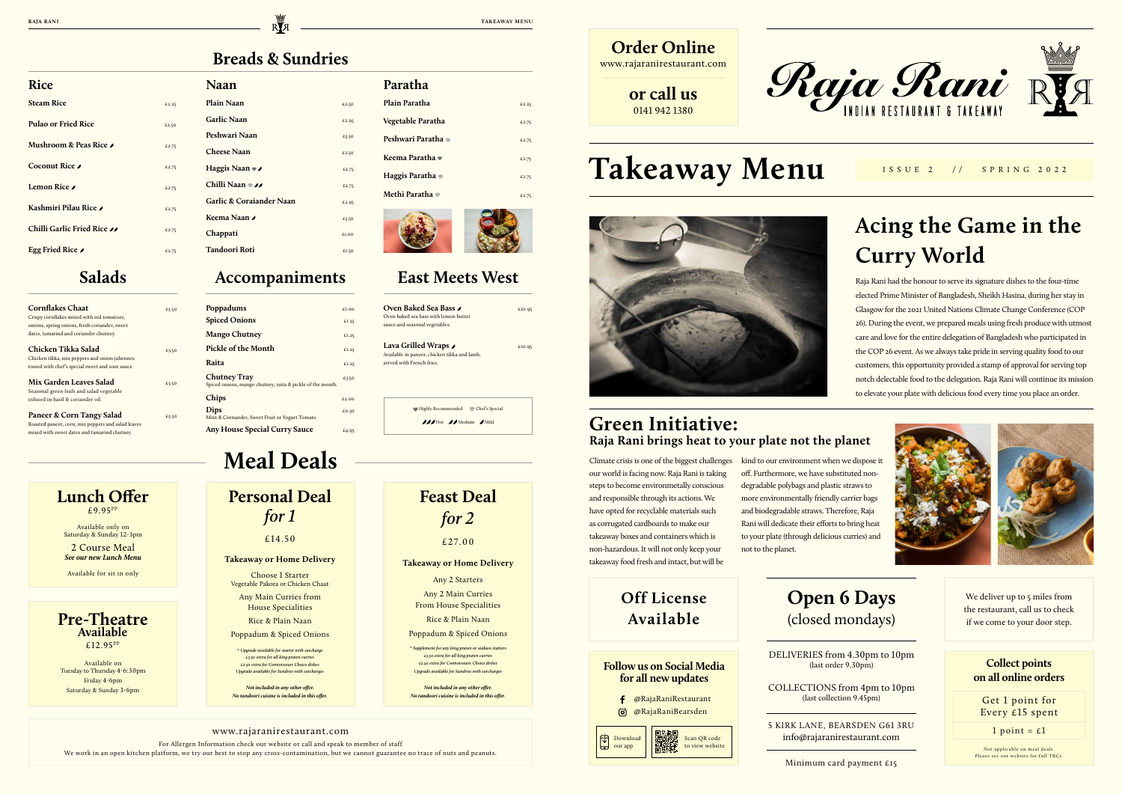**RAJA RANI** TAKEAWAY MENU

# **Takeaway Menu**

# **Acing the Game in the Curry World**

## **Green Initiative: Raja Rani brings heat to your plate not the planet**

Raja Rani had the honour to serve its signature dishes to the four-time elected Prime Minister of Bangladesh, Sheikh Hasina, during her stay in Glasgow for the 2021 United Nations Climate Change Conference (COP 26). During the event, we prepared meals using fresh produce with utmost care and love for the entire delegation of Bangladesh who participated in the COP 26 event. As we always take pride in serving quality food to our customers, this opportunity provided a stamp of approval for serving top notch delectable food to the delegation. Raja Rani will continue its mission to elevate your plate with delicious food every time you place an order.

> We deliver up to 5 miles from the restaurant, call us to check if we come to your door step.

## **Pre-Theatre Available** £12.95PP

Climate crisis is one of the biggest challenges our world is facing now. Raja Rani is taking steps to become environmetally conscious and responsible through its actions. We have opted for recyclable materials such as corrugated cardboards to make our takeaway boxes and containers which is non-hazardous. It will not only keep your takeaway food fresh and intact, but will be

kind to our environment when we dispose it off. Furthermore, we have substituted nondegradable polybags and plastic straws to more environmentally friendly carrier bags and biodegradable straws. Therefore, Raja Rani will dedicate their efforts to bring heat to your plate (through delicious curries) and not to the planet.





5 KIRK LANE, BEARSDEN G61 3RU info@rajaranirestaurant.com

Minimum card payment £15

DELIVERIES from 4.30pm to 10pm (last order 9.30pm)

COLLECTIONS from 4pm to 10pm (last collection 9.45pm)

# **Meal Deals**

**Lunch Offer** £9.95 PP

Available only on Saturday & Sunday 12-3pm 2 Course Meal

*See our new Lunch Menu*

Available on Tuesday to Thursday 4-6:30pm Friday 4-6pm Saturday & Sunday 3-6pm

Available for sit in only

## **Feast Deal** *for 2*

£27.00

### **Takeaway or Home Delivery**

Any 2 Starters

Any 2 Main Curries From House Specialities

Rice & Plain Naan

Poppadum & Spiced Onions

*\* Supplement for any king prawn or seabass starters £3.50 extra for all king prawn curries £2.50 extra for Connoisseurs Choice dishes Upgrade available for Sundries with surcharges*

*Not included in any other offer. No tandoori cuisine is included in this offer.*

## **Follow us on Social Media for all new updates**

## **Collect points on all online orders**

### www.rajaranirestaurant.com

 Highly Recommended Chef's Special  $jj$  Hot  $jj$  Medium  $jj$  Mild

For Allergen Information check our website or call and speak to member of staff

We work in an open kitchen platform, we try our best to stop any cross-contamination, but we cannot guarantee no trace of nuts and peanuts.

- @RajaRaniRestaurant f
- $\odot$ @RajaRaniBearsden

**Personal Deal**  *for 1*

### £14.50

### **Takeaway or Home Delivery**

Choose 1 Starter Vegetable Pakora or Chicken Chaat

Any Main Curries from House Specialities

Rice & Plain Naan

Poppadum & Spiced Onions

*\* Upgrade available for starter with surcharge £3.50 extra for all king prawn curries £2.50 extra for Connoisseurs Choice dishes Upgrade available for Sundries with surcharges*

*Not included in any other offer. No tandoori cuisine is included in this offer.*

## **Off License Available**

Not applicable on meal deals. Please see our website for full T&Cs.

Get 1 point for Every £15 spent

1 point =  $\epsilon$ 1

ISSUE 2 // SPRING 2022



| Oven Baked Sea Bass و                        | £10.95 |
|----------------------------------------------|--------|
| Oven baked sea bass with lemon butter        |        |
| sauce and seasonal vegetables.               |        |
| ر Lava Grilled Wraps                         | £10.95 |
| Available in paneer, chicken tikka and lamb, |        |
| served with French fries.                    |        |
|                                              |        |
|                                              |        |
|                                              |        |

### **Rice**

| <b>Steam Rice</b>           | £2.25 |
|-----------------------------|-------|
| <b>Pulao or Fried Rice</b>  | £2.50 |
| Mushroom & Peas Rice ♪      | £2.75 |
| Coconut Rice                | £2.75 |
| Lemon Rice <i>I</i>         | £2.75 |
| Kashmiri Pilau Rice ♪       | £2.75 |
| Chilli Garlic Fried Rice 11 | £2.75 |
| Egg Fried Rice              | £2.75 |

### **Naan**

| £2.50 |
|-------|
| £2.95 |
| £3.50 |
| £2.50 |
| £2.75 |
| £2.75 |
| £2.95 |
| £3.50 |
| £1.00 |
| £1.50 |
|       |

## **Paratha**

| Plain Paratha           | £2.25 |
|-------------------------|-------|
| Vegetable Paratha       | £2.75 |
| <b>Peshwari Paratha</b> | £2.75 |
| Keema Paratha ♥         | £2.75 |
| Haggis Paratha •        | £2.75 |
| Methi Paratha           | £2.75 |
|                         |       |



## **Salads Accompaniments East Meets West**

| <b>Cornflakes Chaat</b>                            | £3.50 |
|----------------------------------------------------|-------|
| Crispy cornflakes mixed with red tomatoes,         |       |
| onions, spring onions, fresh coriander, sweet      |       |
| dates, tamarind and coriander chutney.             |       |
| Chicken Tikka Salad                                | £3.50 |
| Chicken tikka, mix peppers and onion juliennes     |       |
| tossed with chef's special sweet and sour sauce.   |       |
| Mix Garden Leaves Salad                            | £3.50 |
| Seasonal green leafs and salad vegetable           |       |
| infused in basil & coriander oil.                  |       |
| Paneer & Corn Tangy Salad                          | £3.50 |
| Roasted paneer, corn, mix peppers and salad leaves |       |

| Paneer & Corn Tangy Salad                          |
|----------------------------------------------------|
| Roasted paneer, corn, mix peppers and salad leaves |
| mixed with sweet dates and tamarind chutney.       |

| Poppadums                                                                         | $f_{\text{L}}$ 00 |
|-----------------------------------------------------------------------------------|-------------------|
| <b>Spiced Onions</b>                                                              | £I.25             |
| <b>Mango Chutney</b>                                                              | £I.25             |
| Pickle of the Month                                                               | £I.25             |
| Raita                                                                             | £I.25             |
| <b>Chutney Tray</b><br>Spiced onions, mango chutney, raita & pickle of the month. | £3.50             |
| Chips                                                                             | £2.00             |
| Dips<br>Mint & Corriander, Sweet Fruit or Yogurt Tomato                           | £0.30             |
| <b>Any House Special Curry Sauce</b>                                              | £4.95             |



## **Open 6 Days** (closed mondays)

**Order Online** www.rajaranirestaurant.com

> **or call us** 0141 942 1380





Scan QR code to view website